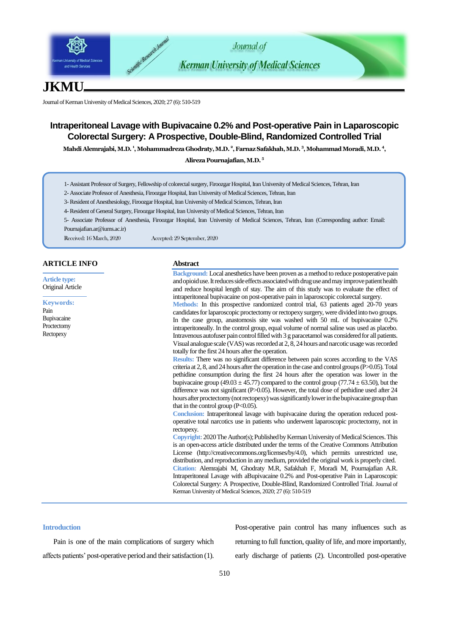

# **JKMU**

Journal of Kerman University of Medical Sciences, 2020; 27 (6): 510-519

## **Intraperitoneal Lavage with Bupivacaine 0.2% and Post-operative Pain in Laparoscopic Colorectal Surgery: A Prospective, Double-Blind, Randomized Controlled Trial**

Mahdi Alemrajabi, M.D. <sup>1</sup>, Mohammadreza Ghodraty, M.D. <sup>2</sup>, Farnaz Safakhah, M.D. <sup>3</sup>, Mohammad Moradi, M.D. <sup>4</sup>,

**Alireza Pournajafian, M.D. 5**

- 1- Assistant Professor of Surgery, Fellowship of colorectal surgery, Firoozgar Hospital, Iran University of Medical Sciences, Tehran, Iran
- 2- Associate Professor of Anesthesia, Firoozgar Hospital, Iran University of Medical Sciences, Tehran, Iran
- 3-Resident of Anesthesiology, Firoozgar Hospital, Iran University of Medical Sciences, Tehran, Iran
- 4-Resident of General Surgery, Firoozgar Hospital, Iran University of Medical Sciences, Tehran, Iran

5- Associate Professor of Anesthesia, Firoozgar Hospital, Iran University of Medical Sciences, Tehran, Iran (Corresponding author: Email: [Pournajafian.ar@iums.ac.ir\)](mailto:Pournajafian.ar@iums.ac.ir)

Received: 16 March, 2020 Accepted: 29 September, 2020

#### **ARTICLE INFO**

**Article type:** Original Article

**Keywords:** Pain Bupivacaine Proctectomy **Rectopexy** 

### **Abstract**

**Background:** Local anesthetics have been proven as a method to reduce postoperative pain and opioid use. It reduces side effects associated with drug use and may improve patient health and reduce hospital length of stay. The aim of this study was to evaluate the effect of intraperitoneal bupivacaine on post-operative pain in laparoscopic colorectal surgery. **Methods:** In this prospective randomized control trial, 63 patients aged 20-70 years candidates for laparoscopic proctectomy or rectopexy surgery, were divided into two groups. In the case group, anastomosis site was washed with 50 mL of bupivacaine 0.2% intraperitoneally. In the control group, equal volume of normal saline was used as placebo.

Intravenous autofuser pain control filled with 3 g paracetamol was considered for all patients. Visual analogue scale (VAS) was recorded at 2, 8, 24 hours and narcotic usage was recorded totally for the first 24 hours after the operation. **Results:** There was no significant difference between pain scores according to the VAS

criteria at 2, 8, and 24 hours after the operation in the case and control groups (P>0.05). Total pethidine consumption during the first 24 hours after the operation was lower in the bupivacaine group (49.03  $\pm$  45.77) compared to the control group (77.74  $\pm$  63.50), but the difference was not significant (P>0.05). However, the total dose of pethidine used after 24 hours after proctectomy (not rectopexy) was significantly lower in the bupivacaine group than that in the control group  $(P<0.05)$ .

**Conclusion:** Intraperitoneal lavage with bupivacaine during the operation reduced postoperative total narcotics use in patients who underwent laparoscopic proctectomy, not in rectopexy.

**Copyright:** 2020The Author(s); Published by Kerman University of Medical Sciences. This is an open-access article distributed under the terms of the Creative Commons Attribution License (http://creativecommons.org/licenses/by/4.0), which permits unrestricted use, distribution, and reproduction in any medium, provided the original work is properly cited. **Citation:** Alemrajabi M, Ghodraty M.R, Safakhah F, Moradi M, Pournajafian A.R. Intraperitoneal Lavage with aBupivacaine 0.2% and Post-operative Pain in Laparoscopic Colorectal Surgery: A Prospective, Double-Blind, Randomized Controlled Trial. Journal of Kerman University of Medical Sciences, 2020; 27 (6): 510-519

#### **Introduction**

Pain is one of the main complications of surgery which affects patients' post-operative period and their satisfaction (1). Post-operative pain control has many influences such as returning to full function, quality of life, and more importantly, early discharge of patients (2). Uncontrolled post-operative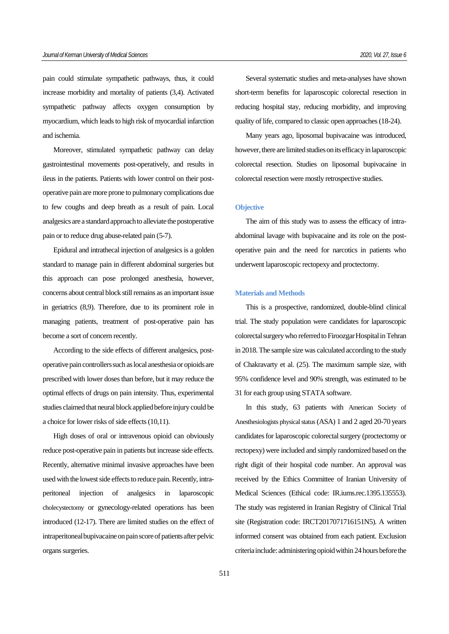pain could stimulate sympathetic pathways, thus, it could increase morbidity and mortality of patients (3,4). Activated sympathetic pathway affects oxygen consumption by myocardium, which leads to high risk of myocardial infarction and ischemia.

Moreover, stimulated sympathetic pathway can delay gastrointestinal movements post-operatively, and results in ileus in the patients. Patients with lower control on their postoperative pain are more prone to pulmonary complications due to few coughs and deep breath as a result of pain. Local analgesics are a standard approach to alleviate the postoperative pain or to reduce drug abuse-related pain (5-7).

Epidural and intrathecal injection of analgesics is a golden standard to manage pain in different abdominal surgeries but this approach can pose prolonged anesthesia, however, concerns about central block still remains as an important issue in geriatrics (8,9). Therefore, due to its prominent role in managing patients, treatment of post-operative pain has become a sort of concern recently.

According to the side effects of different analgesics, postoperative pain controllers such as local anesthesia or opioids are prescribed with lower doses than before, but it may reduce the optimal effects of drugs on pain intensity. Thus, experimental studies claimed that neural block applied before injury could be a choice for lower risks of side effects (10,11).

High doses of oral or intravenous opioid can obviously reduce post-operative pain in patients but increase side effects. Recently, alternative minimal invasive approaches have been used with the lowest side effects to reduce pain. Recently, intraperitoneal injection of analgesics in laparoscopic cholecystectomy or gynecology-related operations has been introduced (12-17). There are limited studies on the effect of intraperitoneal bupivacaine on pain score of patients after pelvic organs surgeries.

Several systematic studies and meta-analyses have shown short-term benefits for laparoscopic colorectal resection in reducing hospital stay, reducing morbidity, and improving quality of life, compared to classic open approaches (18-24).

Many years ago, liposomal bupivacaine was introduced, however, there are limited studies on its efficacy in laparoscopic colorectal resection. Studies on liposomal bupivacaine in colorectal resection were mostly retrospective studies.

#### **Objective**

The aim of this study was to assess the efficacy of intraabdominal lavage with bupivacaine and its role on the postoperative pain and the need for narcotics in patients who underwent laparoscopic rectopexy and proctectomy.

#### **Materials and Methods**

This is a prospective, randomized, double-blind clinical trial. The study population were candidates for laparoscopic colorectal surgery who referred to Firoozgar Hospital in Tehran in 2018.The sample size was calculated according to the study of Chakravarty et al. (25). The maximum sample size, with 95% confidence level and 90% strength, was estimated to be 31 for each group using STATA software.

In this study, 63 patients with [American Society of](https://en.wikipedia.org/wiki/American_Society_of_Anesthesiologists)  [Anesthesiologists](https://en.wikipedia.org/wiki/American_Society_of_Anesthesiologists) physical status(ASA) 1 and 2 aged 20-70 years candidates for laparoscopic colorectal surgery (proctectomy or rectopexy) were included and simply randomized based on the right digit of their hospital code number. An approval was received by the Ethics Committee of Iranian University of Medical Sciences (Ethical code: IR.iums.rec.1395.135553). The study was registered in Iranian Registry of Clinical Trial site (Registration code: IRCT2017071716151N5). A written informed consent was obtained from each patient. Exclusion criteria include: administering opioid within 24 hours before the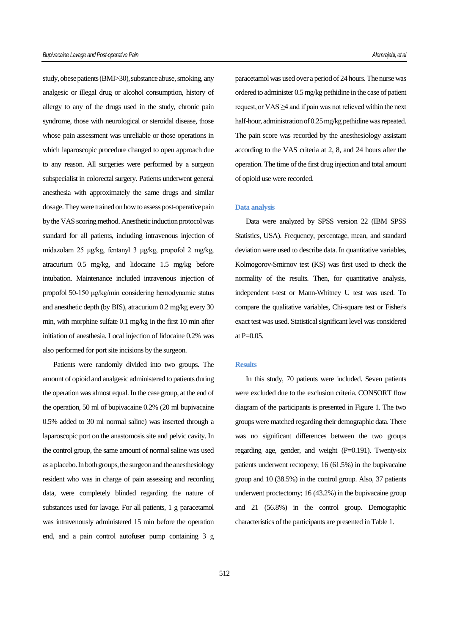study, obese patients (BMI>30), substance abuse, smoking, any analgesic or illegal drug or alcohol consumption, history of allergy to any of the drugs used in the study, chronic pain syndrome, those with neurological or steroidal disease, those whose pain assessment was unreliable or those operations in which laparoscopic procedure changed to open approach due to any reason. All surgeries were performed by a surgeon subspecialist in colorectal surgery. Patients underwent general anesthesia with approximately the same drugs and similar dosage. They were trained on how to assess post-operative pain by the VAS scoring method.Anesthetic induction protocol was standard for all patients, including intravenous injection of midazolam 25 μg/kg, fentanyl 3 μg/kg, propofol 2 mg/kg, atracurium 0.5 mg/kg, and lidocaine 1.5 mg/kg before intubation. Maintenance included intravenous injection of propofol 50-150 μg/kg/min considering hemodynamic status and anesthetic depth (by BIS), atracurium 0.2 mg/kg every 30 min, with morphine sulfate 0.1 mg/kg in the first 10 min after initiation of anesthesia. Local injection of lidocaine 0.2% was also performed for port site incisions by the surgeon.

Patients were randomly divided into two groups. The amount of opioid and analgesic administered to patients during the operation was almost equal. In the case group, at the end of the operation, 50 ml of bupivacaine 0.2% (20 ml bupivacaine 0.5% added to 30 ml normal saline) was inserted through a laparoscopic port on the anastomosis site and pelvic cavity. In the control group, the same amount of normal saline was used as a placebo. In both groups, the surgeon and the anesthesiology resident who was in charge of pain assessing and recording data, were completely blinded regarding the nature of substances used for lavage. For all patients, 1 g paracetamol was intravenously administered 15 min before the operation end, and a pain control autofuser pump containing 3 g paracetamol was used over a period of 24 hours. The nurse was ordered to administer 0.5 mg/kg pethidine in the case of patient request, or VAS ≥4 and if pain was not relieved within the next half-hour, administration of 0.25 mg/kg pethidine was repeated. The pain score was recorded by the anesthesiology assistant according to the VAS criteria at 2, 8, and 24 hours after the operation. The time of the first drug injection and total amount of opioid use were recorded.

#### **Data analysis**

Data were analyzed by SPSS version 22 (IBM SPSS Statistics, USA). Frequency, percentage, mean, and standard deviation were used to describe data. In quantitative variables, Kolmogorov-Smirnov test (KS) was first used to check the normality of the results. Then, for quantitative analysis, independent t-test or Mann-Whitney U test was used. To compare the qualitative variables, Chi-square test or Fisher's exact test was used. Statistical significant level was considered at  $P=0.05$ .

#### **Results**

In this study, 70 patients were included. Seven patients were excluded due to the exclusion criteria. CONSORT flow diagram of the participants is presented in Figure 1. The two groups were matched regarding their demographic data. There was no significant differences between the two groups regarding age, gender, and weight  $(P=0.191)$ . Twenty-six patients underwent rectopexy; 16 (61.5%) in the bupivacaine group and 10 (38.5%) in the control group. Also, 37 patients underwent proctectomy; 16 (43.2%) in the bupivacaine group and 21 (56.8%) in the control group. Demographic characteristics of the participants are presented in Table 1.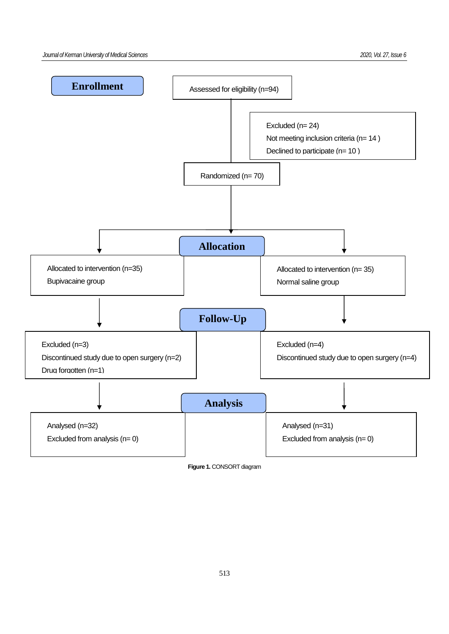

**Figure 1.** CONSORT diagram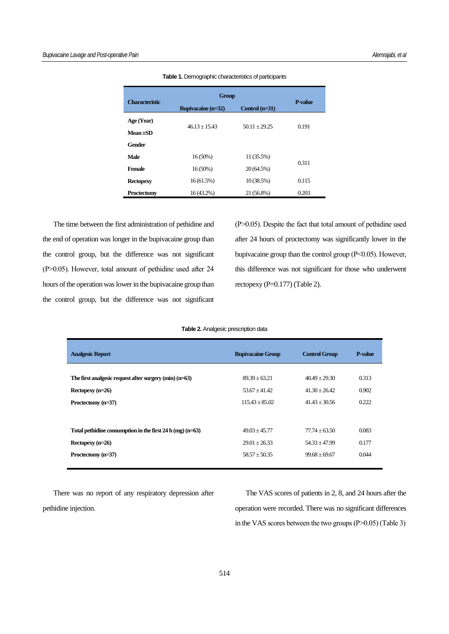| <b>Characteristic</b> | <b>Group</b>              |                  |                |  |
|-----------------------|---------------------------|------------------|----------------|--|
|                       | <b>Bupivacaine</b> (n=32) | Control $(n=31)$ | <b>P-value</b> |  |
| Age (Year)            |                           |                  | 0.191          |  |
| $Mean \pm SD$         | $46.13 + 15.43$           | $50.11 + 29.25$  |                |  |
| Gender                |                           |                  |                |  |
| <b>Male</b>           | $16(50\%)$                | 11 (35.5%)       | 0.311          |  |
| Female                | $16(50\%)$                | 20(64.5%)        |                |  |
| <b>Rectopexy</b>      | 16(61.5%)                 | 10(38.5%)        | 0.115          |  |
| Proctectomy           | $16(43.2\%)$              | 21 (56.8%)       | 0.203          |  |

**Table 1.** Demographic characteristics of participants

The time between the first administration of pethidine and the end of operation was longer in the bupivacaine group than the control group, but the difference was not significant (P˃0.05). However, total amount of pethidine used after 24 hours of the operation was lower in the bupivacaine group than the control group, but the difference was not significant

(P˃0.05). Despite the fact that total amount of pethidine used after 24 hours of proctectomy was significantly lower in the bupivacaine group than the control group (P˂0.05). However, this difference was not significant for those who underwent rectopexy (P=0.177) (Table 2).

#### **Table 2.** Analgesic prescription data

| <b>Analgesic Report</b>                                     | <b>Bupivacaine Group</b> | <b>Control Group</b> | <b>P-value</b> |
|-------------------------------------------------------------|--------------------------|----------------------|----------------|
|                                                             |                          |                      |                |
| The first analgesic request after surgery $(\min)(n=63)$    | $89.39 + 63.21$          | $40.49 + 29.30$      | 0.313          |
| Rectopexy $(n=26)$                                          | $53.67 + 41.42$          | $41.30 + 26.42$      | 0.902          |
| Proctectomy (n=37)                                          | $115.43 + 85.02$         | $41.43 + 30.56$      | 0.222          |
|                                                             |                          |                      |                |
| Total pethidine consumption in the first 24 h (mg) $(n=63)$ | $49.03 + 45.77$          | $77.74 + 63.50$      | 0.083          |
| Rectopexy $(n=26)$                                          | $29.01 + 26.33$          | $54.33 + 47.99$      | 0.177          |
| Proctectomy (n=37)                                          | $58.57 \pm 50.35$        | $99.68 + 69.67$      | 0.044          |
|                                                             |                          |                      |                |

There was no report of any respiratory depression after pethidine injection.

The VAS scores of patients in 2, 8, and 24 hours after the operation were recorded. There was no significant differences in the VAS scores between the two groups  $(P>0.05)$  (Table 3)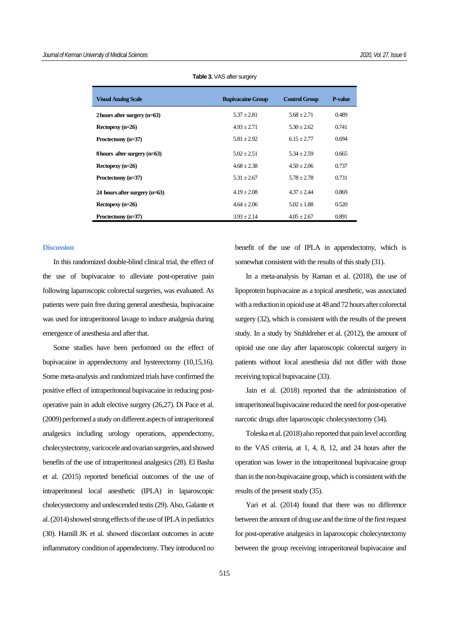| <b>Visual Analog Scale</b>      | <b>Bupivacaine Group</b> | <b>Control Group</b> | <b>P-value</b> |
|---------------------------------|--------------------------|----------------------|----------------|
| 2 hours after surgery $(n=63)$  | $5.37 + 2.81$            | $5.68 + 2.71$        | 0.489          |
| Rectopexy $(n=26)$              | $4.93 + 2.71$            | $5.30 + 2.62$        | 0.741          |
| Proctectomy (n=37)              | $5.81 \pm 2.92$          | $6.15 + 2.77$        | 0.694          |
| 8 hours after surgery $(n=63)$  | $5.02 + 2.51$            | $5.34 \pm 2.59$      | 0.665          |
| Rectopexy $(n=26)$              | $4.68 + 2.38$            | $4.50 + 2.06$        | 0.737          |
| Proctectomy (n=37)              | $5.31 + 2.67$            | $5.78 + 2.78$        | 0.731          |
| 24 hours after surgery $(n=63)$ | $4.19 + 2.08$            | $4.37 + 2.44$        | 0.869          |
| Rectopexy $(n=26)$              | $4.64 + 2.06$            | $5.02 + 1.88$        | 0.520          |
| Proctectomy (n=37)              | $3.93 + 2.14$            | $4.05 + 2.67$        | 0.891          |

**Table 3. VAS after surgery** 

#### **Discussion**

In this randomized double-blind clinical trial, the effect of the use of bupivacaine to alleviate post-operative pain following laparoscopic colorectal surgeries, was evaluated. As patients were pain free during general anesthesia, bupivacaine was used for intraperitoneal lavage to induce analgesia during emergence of anesthesia and after that.

Some studies have been performed on the effect of bupivacaine in appendectomy and hysterectomy (10,15,16). Some meta-analysis and randomized trials have confirmed the positive effect of intraperitoneal bupivacaine in reducing postoperative pain in adult elective surgery (26,27). Di Pace et al. (2009) performed a study on different aspects of intraperitoneal analgesics including urology operations, appendectomy, cholecystectomy, varicocele and ovarian surgeries, and showed benefits of the use of intraperitoneal analgesics (28). El Basha et al. (2015) reported beneficial outcomes of the use of intraperitoneal local anesthetic (IPLA) in laparoscopic cholecystectomy and undescended testis (29). Also, Galante et al. (2014) showed strong effects of the use of IPLA in pediatrics (30). [Hamill](https://pubmed.ncbi.nlm.nih.gov/?term=Hamill+JK&cauthor_id=27537538) JK et al. showed discordant outcomes in acute inflammatory condition of appendectomy. They introduced no benefit of the use of IPLA in appendectomy, which is somewhat consistent with the results of this study (31).

In a meta-analysis by Raman et al. (2018), the use of lipoprotein bupivacaine as a topical anesthetic, was associated with a reduction in opioid use at 48 and 72 hours after colorectal surgery (32), which is consistent with the results of the present study. In a study by Stuhldreher et al. (2012), the amount of opioid use one day after laparoscopic colorectal surgery in patients without local anesthesia did not differ with those receiving topical bupivacaine (33).

Jain et al. (2018) reported that the administration of intraperitoneal bupivacaine reduced the need for post-operative narcotic drugs after laparoscopic cholecystectomy (34).

Toleska et al. (2018) also reported that pain level according to the VAS criteria, at 1, 4, 8, 12, and 24 hours after the operation was lower in the intraperitoneal bupivacaine group than in the non-bupivacaine group, which is consistent with the results of the present study (35).

Yari et al. (2014) found that there was no difference between the amount of drug use and the time of the first request for post-operative analgesics in laparoscopic cholecystectomy between the group receiving intraperitoneal bupivacaine and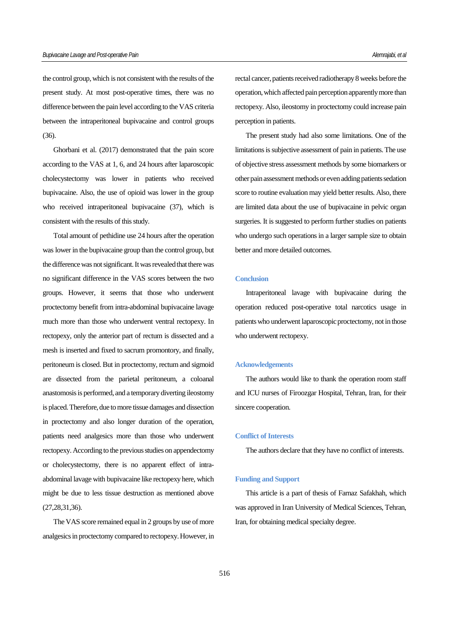the control group, which is not consistent with the results of the present study. At most post-operative times, there was no difference between the pain level according to the VAS criteria between the intraperitoneal bupivacaine and control groups (36).

Ghorbani et al. (2017) demonstrated that the pain score according to the VAS at 1, 6, and 24 hours after laparoscopic cholecystectomy was lower in patients who received bupivacaine. Also, the use of opioid was lower in the group who received intraperitoneal bupivacaine (37), which is consistent with the results of this study.

Total amount of pethidine use 24 hours after the operation was lower in the bupivacaine group than the control group, but the difference was not significant. It was revealed that there was no significant difference in the VAS scores between the two groups. However, it seems that those who underwent proctectomy benefit from intra-abdominal bupivacaine lavage much more than those who underwent ventral rectopexy. In rectopexy, only the anterior part of rectum is dissected and a mesh is inserted and fixed to sacrum promontory, and finally, peritoneum is closed. But in proctectomy, rectum and sigmoid are dissected from the parietal peritoneum, a coloanal anastomosis is performed, and a temporary diverting ileostomy is placed. Therefore, due to more tissue damages and dissection in proctectomy and also longer duration of the operation, patients need analgesics more than those who underwent rectopexy. According to the previous studies on appendectomy or cholecystectomy, there is no apparent effect of intraabdominal lavage with bupivacaine like rectopexy here, which might be due to less tissue destruction as mentioned above (27,28,31,36).

The VAS score remained equal in 2 groups by use of more analgesics in proctectomy compared to rectopexy. However, in rectal cancer, patients received radiotherapy 8 weeks before the operation, which affected pain perception apparently more than rectopexy. Also, ileostomy in proctectomy could increase pain perception in patients.

The present study had also some limitations. One of the limitations is subjective assessment of pain in patients. The use of objective stress assessment methods by some biomarkers or other pain assessment methods or even adding patients sedation score to routine evaluation may yield better results. Also, there are limited data about the use of bupivacaine in pelvic organ surgeries. It is suggested to perform further studies on patients who undergo such operations in a larger sample size to obtain better and more detailed outcomes.

#### **Conclusion**

Intraperitoneal lavage with bupivacaine during the operation reduced post-operative total narcotics usage in patients who underwent laparoscopic proctectomy, not in those who underwent rectopexy.

#### **Acknowledgements**

The authors would like to thank the operation room staff and ICU nurses of Firoozgar Hospital, Tehran, Iran, for their sincere cooperation.

### **Conflict of Interests**

The authors declare that they have no conflict of interests.

#### **Funding and Support**

This article is a part of thesis of Farnaz Safakhah, which was approved in Iran University of Medical Sciences, Tehran, Iran, for obtaining medical specialty degree.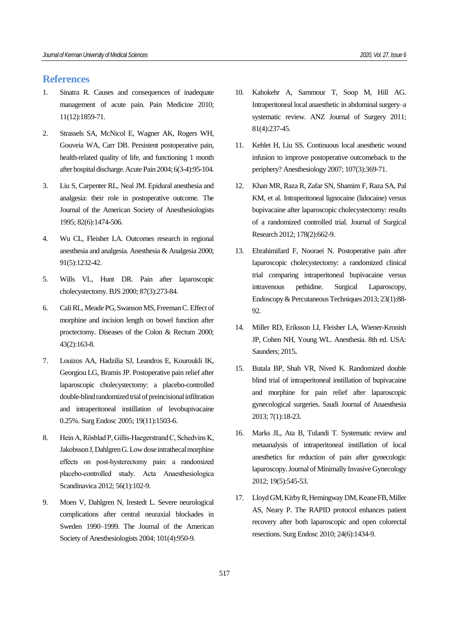## **References**

- 1. Sinatra R. Causes and consequences of inadequate management of acute pain. Pain Medicine 2010; 11(12):1859-71.
- 2. Strassels SA, McNicol E, Wagner AK, Rogers WH, Gouveia WA, Carr DB. Persistent postoperative pain, health-related quality of life, and functioning 1 month after hospital discharge. Acute Pain 2004; 6(3-4):95-104.
- 3. Liu S, Carpenter RL, Neal JM. Epidural anesthesia and analgesia: their role in postoperative outcome. The Journal of the American Society of Anesthesiologists 1995; 82(6):1474-506.
- 4. Wu CL, Fleisher LA. Outcomes research in regional anesthesia and analgesia. Anesthesia & Analgesia 2000; 91(5):1232-42.
- 5. Wills VL, Hunt DR. Pain after laparoscopic cholecystectomy. BJS 2000; 87(3):273-84.
- 6. Cali RL, Meade PG, Swanson MS, Freeman C. Effect of morphine and incision length on bowel function after proctectomy. Diseases of the Colon & Rectum 2000; 43(2):163-8.
- 7. Louizos AA, Hadzilia SJ, Leandros E, Kouroukli IK, Georgiou LG, Bramis JP. Postoperative pain relief after laparoscopic cholecystectomy: a placebo-controlled double-blind randomized trial of preincisional infiltration and intraperitoneal instillation of levobupivacaine 0.25%. Surg Endosc 2005; 19(11):1503-6.
- 8. Hein A, Rösblad P, Gillis-Haegerstrand C, Schedvins K, Jakobsson J, Dahlgren G. Low dose intrathecal morphine effects on post‐hysterectomy pain: a randomized placebo‐controlled study. Acta Anaesthesiologica Scandinavica 2012; 56(1):102-9.
- 9. Moen V, Dahlgren N, Irestedt L. Severe neurological complications after central neuraxial blockades in Sweden 1990–1999. The Journal of the American Society of Anesthesiologists 2004; 101(4):950-9.
- 10. Kahokehr A, Sammour T, Soop M, Hill AG. Intraperitoneal local anaesthetic in abdominal surgery–a systematic review. ANZ Journal of Surgery 2011; 81(4):237-45.
- 11. Kehlet H, Liu SS. Continuous local anesthetic wound infusion to improve postoperative outcomeback to the periphery? Anesthesiology 2007; 107(3):369-71.
- 12. Khan MR, Raza R, Zafar SN, Shamim F, Raza SA, Pal KM, et al. Intraperitoneal lignocaine (lidocaine) versus bupivacaine after laparoscopic cholecystectomy: results of a randomized controlled trial. Journal of Surgical Research 2012; 178(2):662-9.
- 13. Ebrahimifard F, Nooraei N. Postoperative pain after laparoscopic cholecystectomy: a randomized clinical trial comparing intraperitoneal bupivacaine versus intravenous pethidine. Surgical Laparoscopy, Endoscopy & Percutaneous Techniques 2013; 23(1):88-  $92.$
- 14. Miller RD, Eriksson LI, Fleisher LA, Wiener-Kronish JP, Cohen NH, Young WL. Anesthesia. 8th ed. USA: Saunders; 2015**.**
- 15. Butala BP, Shah VR, Nived K. Randomized double blind trial of intraperitoneal instillation of bupivacaine and morphine for pain relief after laparoscopic gynecological surgeries. Saudi Journal of Anaesthesia 2013; 7(1):18-23.
- 16. Marks JL, Ata B, Tulandi T. Systematic review and metaanalysis of intraperitoneal instillation of local anesthetics for reduction of pain after gynecologic laparoscopy. Journal of Minimally Invasive Gynecology 2012; 19(5):545-53.
- 17. Lloyd GM, Kirby R, Hemingway DM, Keane FB, Miller AS, Neary P. The RAPID protocol enhances patient recovery after both laparoscopic and open colorectal resections. Surg Endosc 2010; 24(6):1434-9.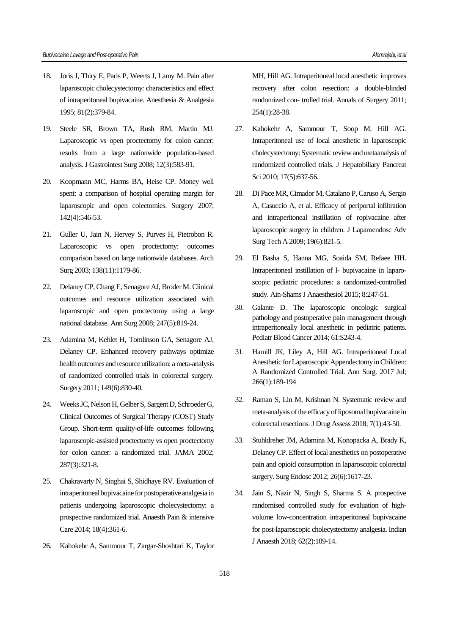- 18. Joris J, Thiry E, Paris P, Weerts J, Lamy M. Pain after laparoscopic cholecystectomy: characteristics and effect of intraperitoneal bupivacaine. Anesthesia & Analgesia 1995; 81(2):379-84.
- 19. Steele SR, Brown TA, Rush RM, Martin MJ. Laparoscopic vs open proctectomy for colon cancer: results from a large nationwide population-based analysis. J Gastrointest Surg 2008; 12(3):583-91.
- 20. Koopmann MC, Harms BA, Heise CP. Money well spent: a comparison of hospital operating margin for laparoscopic and open colectomies. Surgery 2007; 142(4):546-53.
- 21. Guller U, Jain N, Hervey S, Purves H, Pietrobon R. Laparoscopic vs open proctectomy: outcomes comparison based on large nationwide databases. Arch Surg 2003; 138(11):1179-86.
- 22. Delaney CP, Chang E, Senagore AJ, Broder M. Clinical outcomes and resource utilization associated with laparoscopic and open proctectomy using a large national database. Ann Surg 2008; 247(5):819-24.
- 23. Adamina M, Kehlet H, Tomlinson GA, Senagore AJ, Delaney CP. Enhanced recovery pathways optimize health outcomes and resource utilization: a meta-analysis of randomized controlled trials in colorectal surgery. Surgery 2011; 149(6):830-40.
- 24. Weeks JC, Nelson H, Gelber S, Sargent D, Schroeder G, Clinical Outcomes of Surgical Therapy (COST) Study Group. Short-term quality-of-life outcomes following laparoscopic-assisted proctectomy vs open proctectomy for colon cancer: a randomized trial. JAMA 2002; 287(3):321-8.
- 25. Chakravarty N, Singhai S, Shidhaye RV. Evaluation of intraperitoneal bupivacaine for postoperative analgesia in patients undergoing laparoscopic cholecystectomy: a prospective randomized trial. Anaesth Pain & intensive Care 2014; 18(4):361-6.
- 26. Kahokehr A, Sammour T, Zargar-Shoshtari K, Taylor

MH, Hill AG. Intraperitoneal local anesthetic improves recovery after colon resection: a double-blinded randomized con- trolled trial. Annals of Surgery 2011; 254(1):28-38.

- 27. Kahokehr A, Sammour T, Soop M, Hill AG. Intraperitoneal use of local anesthetic in laparoscopic cholecystectomy: Systematic review and metaanalysis of randomized controlled trials. J Hepatobiliary Pancreat Sci 2010; 17(5):637-56.
- 28. Di Pace MR, Cimador M, Catalano P, Caruso A, Sergio A, Casuccio A, et al. Efficacy of periportal infiltration and intraperitoneal instillation of ropivacaine after laparoscopic surgery in children. J Laparoendosc Adv Surg Tech A 2009; 19(6):821-5.
- 29. El Basha S, Hanna MG, Soaida SM, Refaee HH. Intraperitoneal instillation of l- bupivacaine in laparoscopic pediatric procedures: a randomized-controlled study. Ain-Shams J Anaesthesiol 2015; 8:247-51.
- 30. Galante D. The laparoscopic oncologic surgical pathology and postoperative pain management through intraperitoneally local anesthetic in pediatric patients. Pediatr Blood Cancer 2014; 61:S243-4.
- 31. [Hamill](https://pubmed.ncbi.nlm.nih.gov/?term=Hamill+JK&cauthor_id=27537538) JK, [Liley](https://pubmed.ncbi.nlm.nih.gov/?term=Liley+A&cauthor_id=27537538) A, [Hill](https://pubmed.ncbi.nlm.nih.gov/?term=Hill+AG&cauthor_id=27537538) AG. Intraperitoneal Local Anesthetic for Laparoscopic Appendectomy in Children: A Randomized Controlled Trial. Ann Surg. 2017 Jul; 266(1):189-194
- 32. Raman S, Lin M, Krishnan N. Systematic review and meta-analysis of the efficacy of liposomal bupivacaine in colorectal resections. J Drug Assess 2018; 7(1):43-50.
- 33. Stuhldreher JM, Adamina M, Konopacka A, Brady K, Delaney CP. Effect of local anesthetics on postoperative pain and opioid consumption in laparoscopic colorectal surgery. Surg Endosc 2012; 26(6):1617-23.
- 34. Jain S, Nazir N, Singh S, Sharma S. A prospective randomised controlled study for evaluation of highvolume low-concentration intraperitoneal bupivacaine for post-laparoscopic cholecystectomy analgesia. Indian J Anaesth 2018; 62(2):109-14.